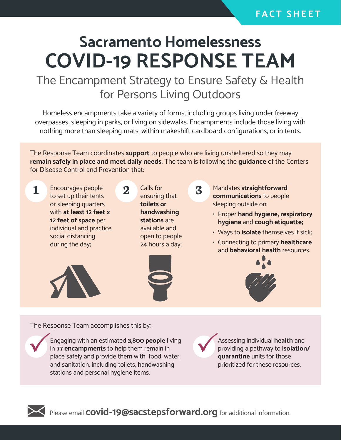## **F A C T S H E E T**

## **Sacramento Homelessness COVID-19 RESPONSE TEAM**

## The Encampment Strategy to Ensure Safety & Health for Persons Living Outdoors

Homeless encampments take a variety of forms, including groups living under freeway overpasses, sleeping in parks, or living on sidewalks. Encampments include those living with nothing more than sleeping mats, within makeshift cardboard configurations, or in tents.

The Response Team coordinates **support** to people who are living unsheltered so they may **remain safely in place and meet daily needs.** The team is following the **guidance** of the Centers for Disease Control and Prevention that:

1 **Encourages people** 2 **Calls for 2 3 3** to set up their tents or sleeping quarters with **at least 12 feet x 12 feet of space** per individual and practice social distancing during the day;

ensuring that **toilets or handwashing stations** are available and open to people 24 hours a day;



Mandates **straightforward communications** to people sleeping outside on:

- Proper **hand hygiene, respiratory hygiene** and **cough etiquette;**
- Ways to **isolate** themselves if sick;
- Connecting to primary **healthcare** and **behavioral health** resources.



The Response Team accomplishes this by:

Engaging with an estimated **3,800 people** living in **77 encampments** to help them remain in place safely and provide them with food, water, and sanitation, including toilets, handwashing stations and personal hygiene items.

Assessing individual **health** and providing a pathway to **isolation/ quarantine** units for those prioritized for these resources.